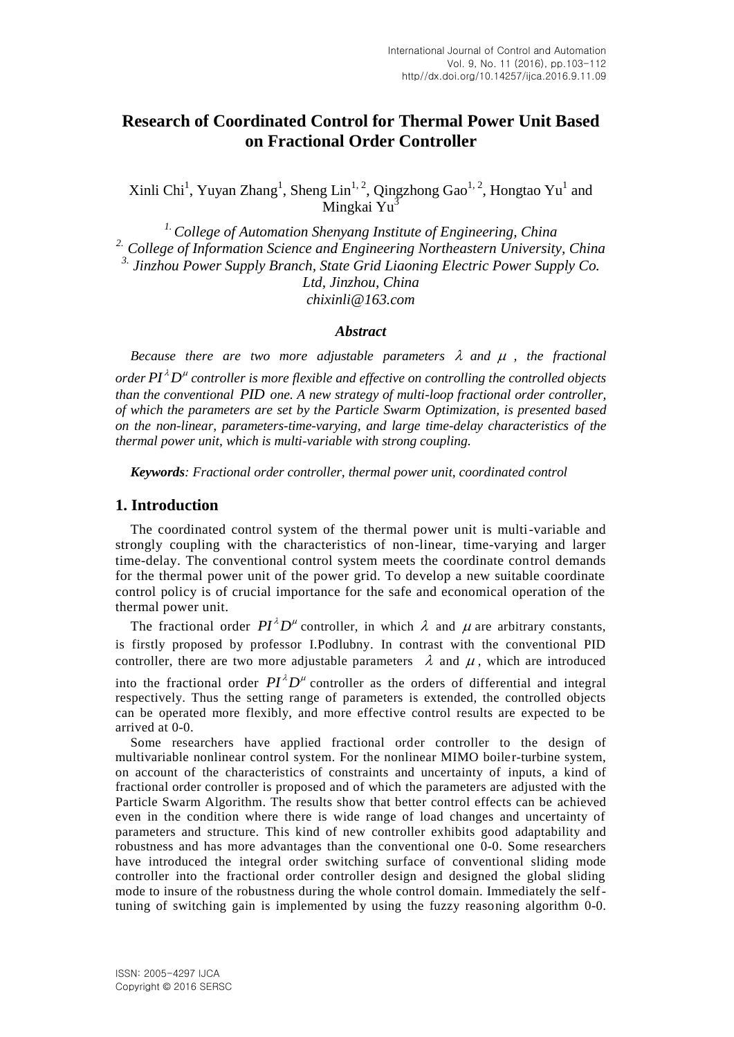# **Research of Coordinated Control for Thermal Power Unit Based on Fractional Order Controller**

Xinli Chi<sup>1</sup>, Yuyan Zhang<sup>1</sup>, Sheng Lin<sup>1, 2</sup>, Qingzhong Gao<sup>1, 2</sup>, Hongtao Yu<sup>1</sup> and Mingkai Yu<sup>3</sup>

*1.College of Automation Shenyang Institute of Engineering, China 2. College of Information Science and Engineering Northeastern University, China 3. Jinzhou Power Supply Branch, State Grid Liaoning Electric Power Supply Co. Ltd, Jinzhou, China chixinli@163.com*

#### *Abstract*

*Because there are two more adjustable parameters*  $\lambda$  *and*  $\mu$ *, the fractional* 

*order*  $PI^{\lambda}D^{\mu}$  controller is more flexible and effective on controlling the controlled objects *than the conventional PID one. A new strategy of multi-loop fractional order controller, of which the parameters are set by the Particle Swarm Optimization, is presented based on the non-linear, parameters-time-varying, and large time-delay characteristics of the thermal power unit, which is multi-variable with strong coupling.*

*Keywords: Fractional order controller, thermal power unit, coordinated control*

### **1. Introduction**

The coordinated control system of the thermal power unit is multi-variable and strongly coupling with the characteristics of non-linear, time-varying and larger time-delay. The conventional control system meets the coordinate control demands for the thermal power unit of the power grid. To develop a new suitable coordinate control policy is of crucial importance for the safe and economical operation of the thermal power unit.

The fractional order  $PI^{\lambda}D^{\mu}$  controller, in which  $\lambda$  and  $\mu$  are arbitrary constants, is firstly proposed by professor I.Podlubny. In contrast with the conventional PID controller, there are two more adjustable parameters  $\lambda$  and  $\mu$ , which are introduced into the fractional order  $PI^{\lambda}D^{\mu}$  controller as the orders of differential and integral respectively. Thus the setting range of parameters is extended, the controlled objects can be operated more flexibly, and more effective control results are expected to be arrived at [0-](#page-7-0)[0.](#page-7-1)

Some researchers have applied fractional order controller to the design of multivariable nonlinear control system. For the nonlinear MIMO boiler-turbine system, on account of the characteristics of constraints and uncertainty of inputs, a kind of fractional order controller is proposed and of which the parameters are adjusted with the Particle Swarm Algorithm. The results show that better control effects can be achieved even in the condition where there is wide range of load changes and uncertainty of parameters and structure. This kind of new controller exhibits good adaptability and robustness and has more advantages than the conventional one [0-](#page-8-0)[0.](#page-8-1) Some researchers have introduced the integral order switching surface of conventional sliding mode controller into the fractional order controller design and designed the global sliding mode to insure of the robustness during the whole control domain. Immediately the selftuning of switching gain is implemented by using the fuzzy reasoning algorithm [0](#page-8-0)[-0.](#page-8-1)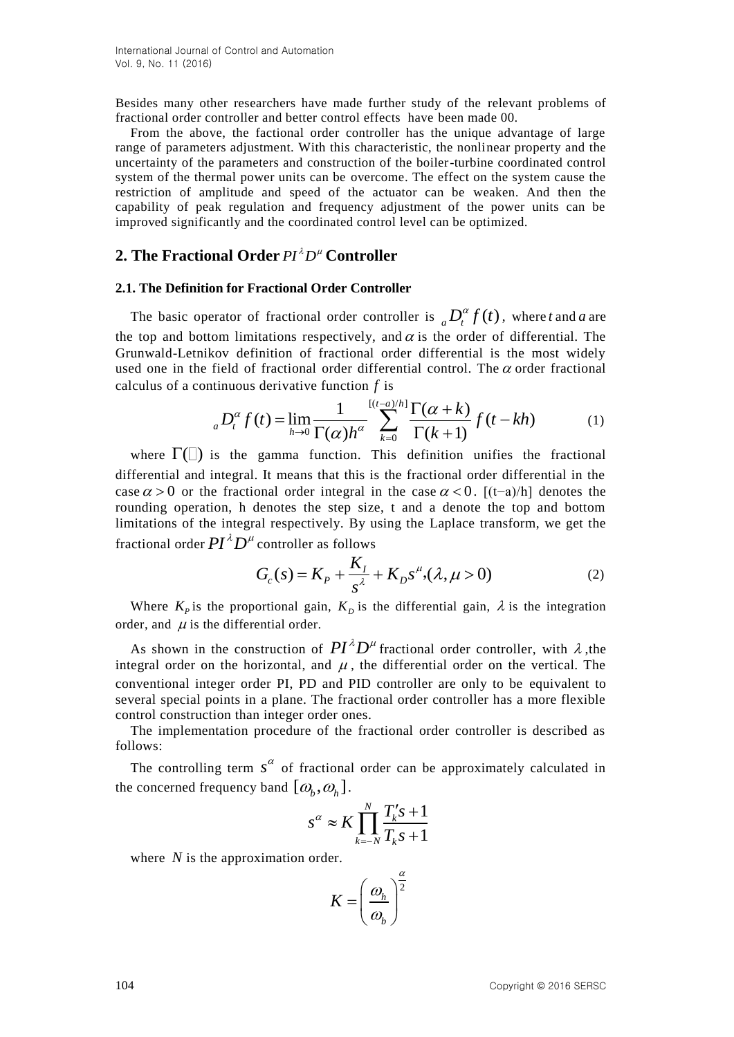Besides many other researchers have made further study of the relevant problems of fractional order controller and better control effects have been made [00.](#page-8-2)

From the above, the factional order controller has the unique advantage of large range of parameters adjustment. With this characteristic, the nonlinear property and the uncertainty of the parameters and construction of the boiler-turbine coordinated control system of the thermal power units can be overcome. The effect on the system cause the restriction of amplitude and speed of the actuator can be weaken. And then the capability of peak regulation and frequency adjustment of the power units can be improved significantly and the coordinated control level can be optimized.

## **2. The Fractional Order**  $PI^{\lambda}D^{\mu}$  **Controller**

#### **2.1. The Definition for Fractional Order Controller**

The basic operator of fractional order controller is  ${_aD_t^{\alpha}} f(t)$ , where t and a are the top and bottom limitations respectively, and  $\alpha$  is the order of differential. The Grunwald-Letnikov definition of fractional order differential is the most widely used one in the field of fractional order differential control. The  $\alpha$  order fractional calculus of a continuous derivative function  $f$  is<br>  ${}_{a}D_{t}^{\alpha}f(t) = \lim_{h \to 0} \frac{1}{\Gamma(\alpha)h^{\alpha}} \sum_{k=0}^{[(t-a)/h]} \frac{\Gamma(\alpha+k)}{\Gamma(k+1)} f(t - kh)$  (1

calculate the first derivative function 
$$
f
$$
 is

\n
$$
{}_{a}D_{t}^{\alpha}f(t) = \lim_{h \to 0} \frac{1}{\Gamma(\alpha)h^{\alpha}} \sum_{k=0}^{\left[\frac{(t-a)}{h}\right]} \frac{\Gamma(\alpha+k)}{\Gamma(k+1)} f(t-kh) \tag{1}
$$

where  $\Gamma(\Box)$  is the gamma function. This definition unifies the fractional differential and integral. It means that this is the fractional order differential in the case  $\alpha > 0$  or the fractional order integral in the case  $\alpha < 0$ . [(t-a)/h] denotes the rounding operation, h denotes the step size, t and a denote the top and bottom limitations of the integral respectively. By using the Laplace transform, we get the

fractional order 
$$
PI^{\lambda}D^{\mu}
$$
 controller as follows  
\n
$$
G_c(s) = K_P + \frac{K_I}{s^{\lambda}} + K_D s^{\mu}, (\lambda, \mu > 0)
$$
\n(2)

Where  $K_p$  is the proportional gain,  $K_p$  is the differential gain,  $\lambda$  is the integration order, and  $\mu$  is the differential order.

As shown in the construction of  $PI^{\lambda}D^{\mu}$  fractional order controller, with  $\lambda$ , the integral order on the horizontal, and  $\mu$ , the differential order on the vertical. The conventional integer order PI, PD and PID controller are only to be equivalent to several special points in a plane. The fractional order controller has a more flexible control construction than integer order ones.

The implementation procedure of the fractional order controller is described as follows:

The controlling term  $s^{\alpha}$  of fractional order can be approximately calculated in the concerned frequency band  $[\omega_b, \omega_h]$ .

$$
s^{\alpha} \approx K \prod_{k=-N}^{N} \frac{T_k's + 1}{T_k s + 1}
$$

where  $N$  is the approximation order.

$$
K = \left(\frac{\omega_h}{\omega_b}\right)^{\frac{\alpha}{2}}
$$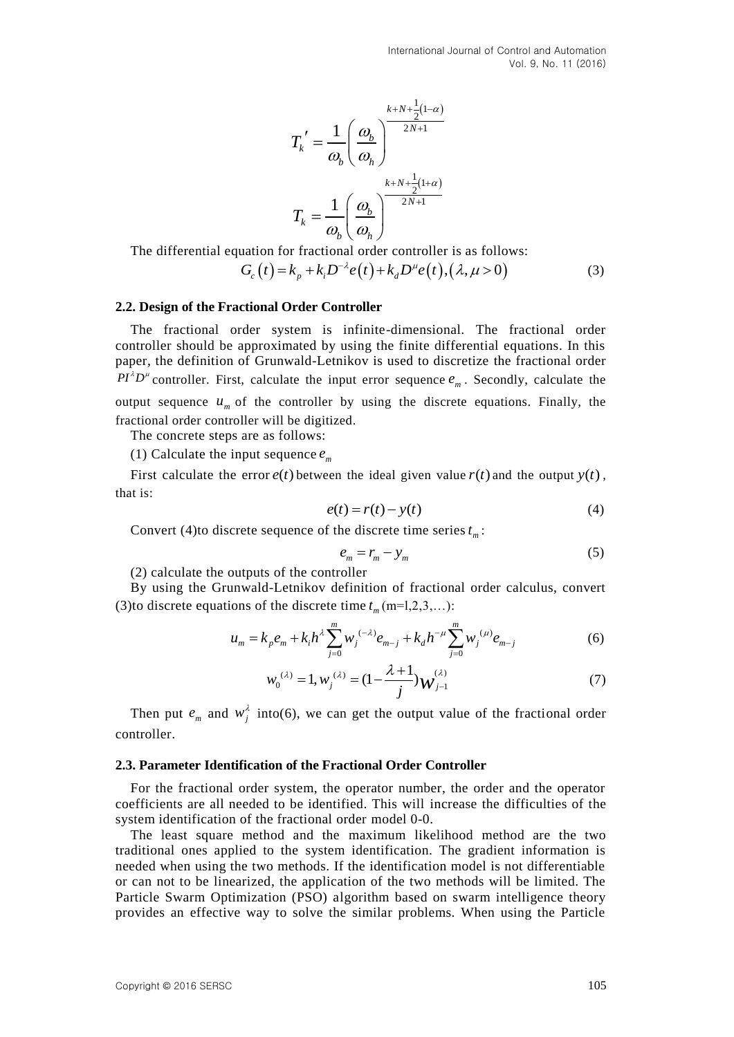$$
T_k' = \frac{1}{\omega_b} \left(\frac{\omega_b}{\omega_h}\right)^{\frac{k+N+\frac{1}{2}(1-\alpha)}{2N+1}}
$$

$$
T_k = \frac{1}{\omega_b} \left(\frac{\omega_b}{\omega_h}\right)^{\frac{k+N+\frac{1}{2}(1+\alpha)}{2N+1}}
$$

The differential equation for fractional order controller is as follows:  
\n
$$
G_c(t) = k_p + k_i D^{-\lambda} e(t) + k_d D^{\mu} e(t), (\lambda, \mu > 0)
$$
\n(3)

#### **2.2. Design of the Fractional Order Controller**

The fractional order system is infinite-dimensional. The fractional order controller should be approximated by using the finite differential equations. In this paper, the definition of Grunwald-Letnikov is used to discretize the fractional order  $PI^{\lambda}D^{\mu}$  controller. First, calculate the input error sequence  $e_m$ . Secondly, calculate the output sequence  $u_m$  of the controller by using the discrete equations. Finally, the fractional order controller will be digitized.

The concrete steps are as follows:

(1) Calculate the input sequence  $e_m$ 

First calculate the error  $e(t)$  between the ideal given value  $r(t)$  and the output  $y(t)$ , that is:

$$
e(t) = r(t) - y(t)
$$
\n<sup>(4)</sup>

Convert (4) to discrete sequence of the discrete time series  $t_m$ :

$$
e_m = r_m - y_m \tag{5}
$$

(2) calculate the outputs of the controller

By using the Grunwald-Letnikov definition of fractional order calculus, convert By using the Grunwald-Letnikov definition of fractional order cal<br>
(3)to discrete equations of the discrete time  $t_m$  (m=l,2,3,...):<br>  $u_m = k_p e_m + k_i h^2 \sum_{j=0}^m w_j^{(-\lambda)} e_{m-j} + k_d h^{-\mu} \sum_{j=0}^m w_j^{(\mu)} e_{m-j}$ 

$$
u_m = k_p e_m + k_i h^2 \sum_{j=0}^m w_j^{(-\lambda)} e_{m-j} + k_d h^{-\mu} \sum_{j=0}^m w_j^{(\mu)} e_{m-j}
$$
(6)

$$
w_0^{(\lambda)} = 1, w_j^{(\lambda)} = (1 - \frac{\lambda + 1}{j})w_{j-1}^{(\lambda)}
$$
(7)

Then put  $e_m$  and  $w_j^{\lambda}$  into(6), we can get the output value of the fractional order controller.

#### **2.3. Parameter Identification of the Fractional Order Controller**

For the fractional order system, the operator number, the order and the operator coefficients are all needed to be identified. This will increase the difficulties of the system identification of the fractional order model [0-](#page-8-3)[0.](#page-8-4)

The least square method and the maximum likelihood method are the two traditional ones applied to the system identification. The gradient information is needed when using the two methods. If the identification model is not differentiable or can not to be linearized, the application of the two methods will be limited. The Particle Swarm Optimization (PSO) algorithm based on swarm intelligence theory provides an effective way to solve the similar problems. When using the Particle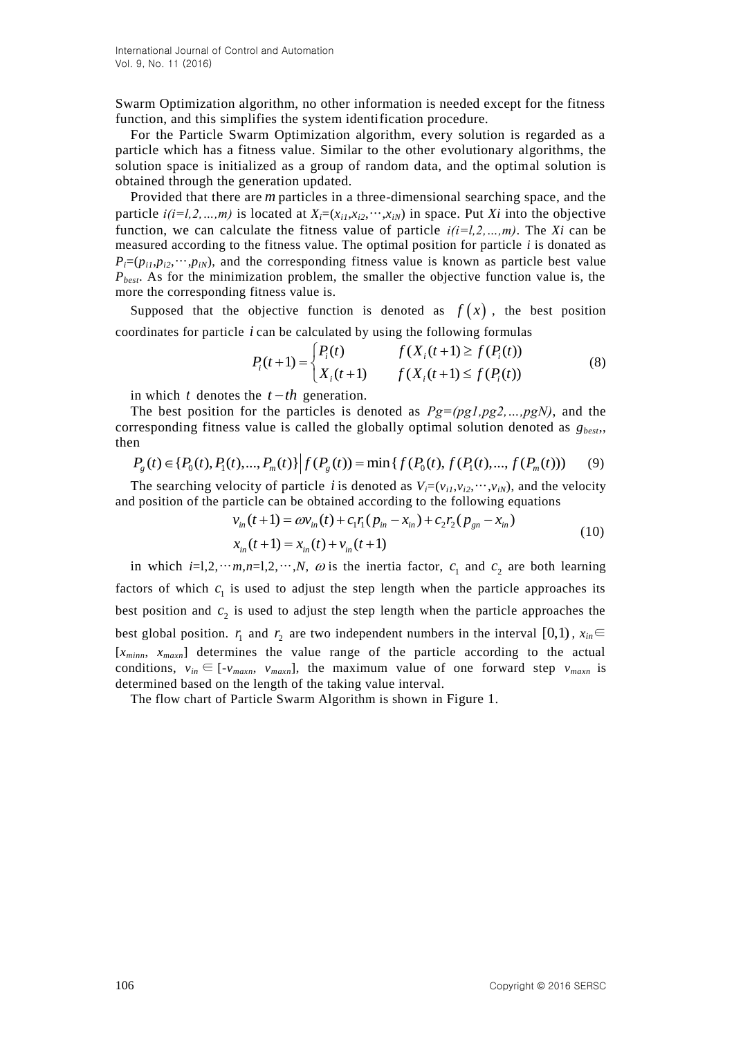Swarm Optimization algorithm, no other information is needed except for the fitness function, and this simplifies the system identification procedure.

For the Particle Swarm Optimization algorithm, every solution is regarded as a particle which has a fitness value. Similar to the other evolutionary algorithms, the solution space is initialized as a group of random data, and the optimal solution is obtained through the generation updated.

Provided that there are *m* particles in a three-dimensional searching space, and the particle  $i(i=1,2,...,m)$  is located at  $X_i=(x_{i1},x_{i2},...,x_{iN})$  in space. Put *Xi* into the objective function, we can calculate the fitness value of particle  $i(i=1,2,...,m)$ . The *Xi* can be measured according to the fitness value. The optimal position for particle *i* is donated as  $P_i=(p_{i1},p_{i2},\cdots,p_{iN})$ , and the corresponding fitness value is known as particle best value *Pbest*. As for the minimization problem, the smaller the objective function value is, the more the corresponding fitness value is.

Supposed that the objective function is denoted as  $f(x)$ , the best position coordinates for particle *i* can be calculated by using the following formulas<br>  $P(t+1) = \begin{cases} P_i(t) & f(X_i(t+1) \ge f(P_i(t)) \end{cases}$ 

*i* can be calculated by using the following formulas  
\n
$$
P_i(t+1) = \begin{cases} P_i(t) & f(X_i(t+1) \ge f(P_i(t)) \\ X_i(t+1) & f(X_i(t+1) \le f(P_i(t)) \end{cases}
$$
\n(8)

in which  $t$  denotes the  $t-th$  generation.

The best position for the particles is denoted as *Pg=(pg1,pg2,…,pgN)*, and the corresponding fitness value is called the globally optimal solution denoted as *gbest*,, then The best position for the particles is denoted as  $Pg=(pg1,pg2,...,pgN)$ , are<br>sponding fitness value is called the globally optimal solution denoted a<br>n<br> $P_g(t) \in \{P_0(t), P_1(t), ..., P_m(t)\} | f(P_g(t)) = \min \{f(P_0(t), f(P_1(t), ..., f(P_m(t)))\}$ 

$$
P_g(t) \in \{P_0(t), P_1(t), ..., P_m(t)\} \Big| f(P_g(t)) = \min \{ f(P_0(t), f(P_1(t), ..., f(P_m(t))) \tag{9} \}
$$

The searching velocity of particle *i* is denoted as  $V_i=(v_{i1},v_{i2},\dots,v_{iN})$ , and the velocity and position of the particle can be obtained according to the following equations ocity of particle *i* is denoted as  $V_i=(v_{i1}, v_{i2}, \dots, v_{iN})$ , and<br>article can be obtained according to the following equa<br> $v_{in}(t+1) = \omega v_{in}(t) + c_1 r_1 (p_{in} - x_{in}) + c_2 r_2 (p_{gn} - x_{in})$ 

$$
v_{in}(t+1) = \omega v_{in}(t) + c_1 r_1 (p_{in} - x_{in}) + c_2 r_2 (p_{gn} - x_{in})
$$
  

$$
x_{in}(t+1) = x_{in}(t) + v_{in}(t+1)
$$
 (10)

in which  $i=1,2,\dots,m,n=1,2,\dots,N$ ,  $\omega$  is the inertia factor,  $c_1$  and  $c_2$  are both learning factors of which  $c_1$  is used to adjust the step length when the particle approaches its best position and  $c_2$  is used to adjust the step length when the particle approaches the best global position.  $r_1$  and  $r_2$  are two independent numbers in the interval [0,1),  $x_{in} \in$ [*xminn*, *xmaxn*] determines the value range of the particle according to the actual conditions,  $v_{in} \in [-v_{maxn}, v_{maxn}]$ , the maximum value of one forward step  $v_{maxn}$  is determined based on the length of the taking value interval.

The flow chart of Particle Swarm Algorithm is shown in [Figure 1](#page-4-0).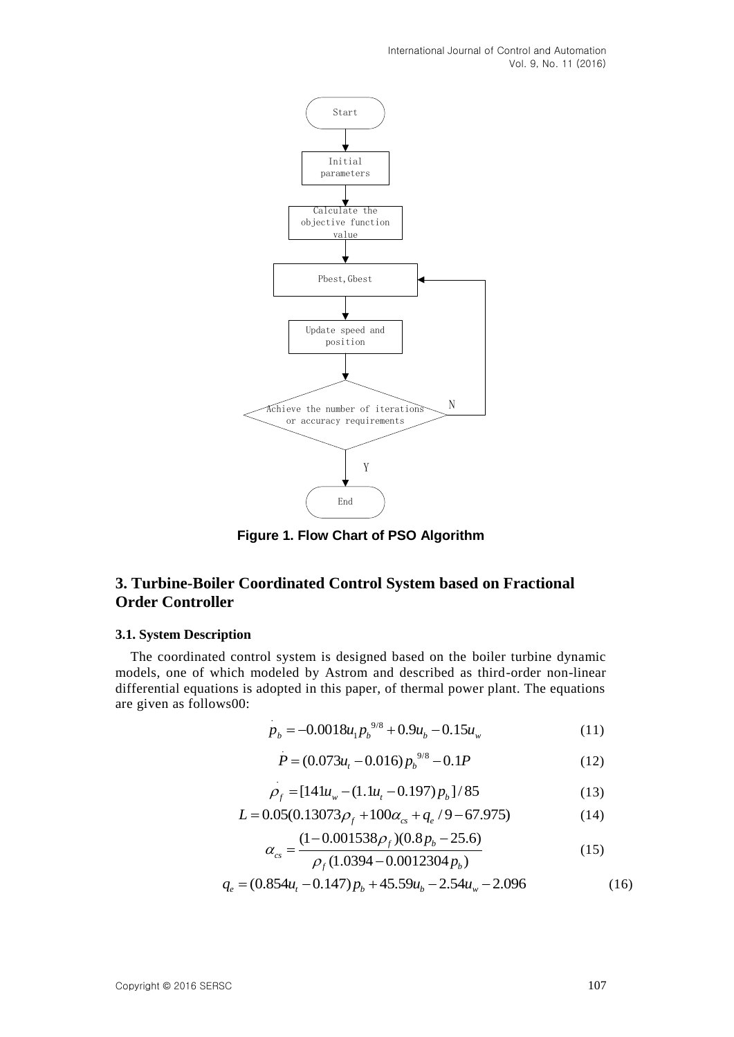

**Figure 1. Flow Chart of PSO Algorithm**

## <span id="page-4-0"></span>**3. Turbine-Boiler Coordinated Control System based on Fractional Order Controller**

#### **3.1. System Description**

The coordinated control system is designed based on the boiler turbine dynamic models, one of which modeled by Astrom and described as third-order non-linear differential equations is adopted in this paper, of thermal power plant. The equations are given as follow[s00:](#page-8-5)

$$
p_b = -0.0018u_1 p_b^{9/8} + 0.9u_b - 0.15u_w
$$
 (11)

$$
P = (0.073u_t - 0.016)p_b^{9/8} - 0.1P
$$
 (12)

$$
\rho_f = [141u_w - (1.1u_t - 0.197)\,p_b]/85\tag{13}
$$

$$
\rho_f = [141u_w - (1.1u_t - 0.197)\rho_b]/85
$$
\n
$$
L = 0.05(0.13073\rho_f + 100\alpha_{cs} + q_e/9 - 67.975)
$$
\n(14)

$$
L = 0.05(0.13073\rho_f + 100\alpha_{cs} + q_e/9 - 67.975)
$$
(14)  

$$
\alpha_{cs} = \frac{(1 - 0.001538\rho_f)(0.8p_b - 25.6)}{\rho_f(1.0394 - 0.0012304p_b)}
$$
(15)  

$$
q_e = (0.854u_t - 0.147)p_b + 45.59u_b - 2.54u_w - 2.096
$$

$$
q_e = (0.854u_t - 0.147)p_b + 45.59u_b - 2.54u_w - 2.096
$$
 (16)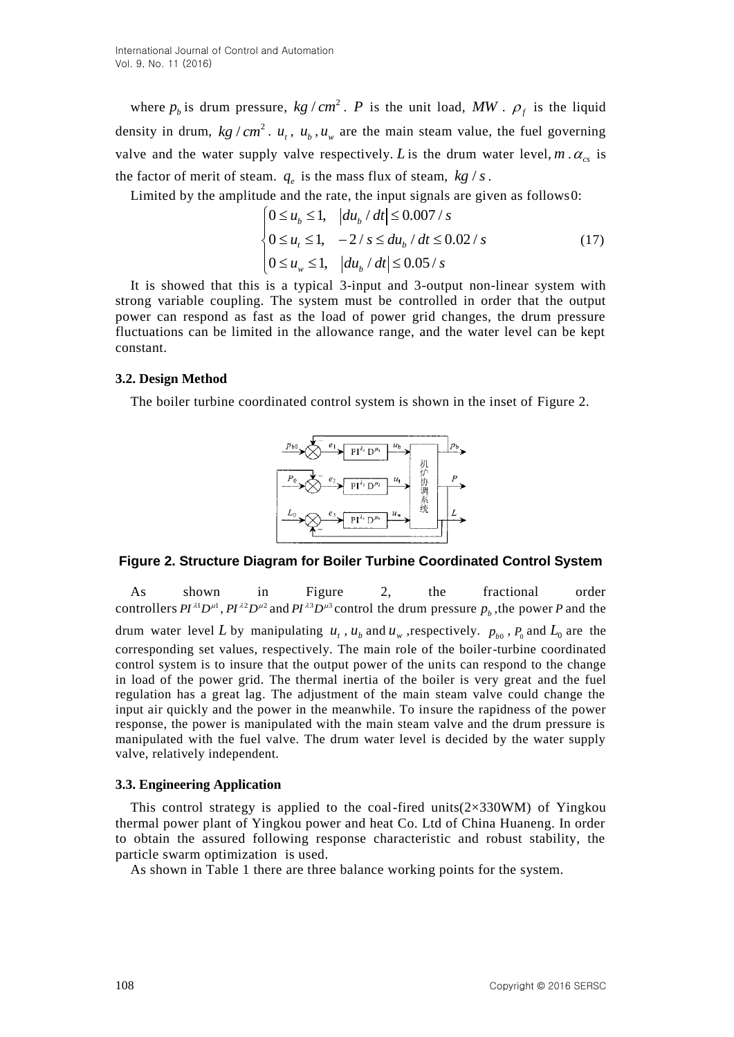where  $p_b$  is drum pressure,  $kg/cm^2$ . *P* is the unit load, MW.  $\rho_f$  is the liquid density in drum,  $kg/cm^2$ .  $u_t$ ,  $u_b$ ,  $u_w$  are the main steam value, the fuel governing valve and the water supply valve respectively. L is the drum water level,  $m \cdot \alpha_{cs}$  is the factor of merit of steam.  $q_e$  is the mass flux of steam,  $kg/s$ .

Limited by the amplitude and the rate, the input signals are given as follow[s0:](#page-8-5)<br> $\left|0 \le u_b \le 1, \left|du_b / dt \right| \le 0.007 / s\right|$ 

$$
\begin{cases} 0 \le u_b \le 1, & |du_b / dt| \le 0.007 / s \\ 0 \le u_t \le 1, & -2 / s \le du_b / dt \le 0.02 / s \\ 0 \le u_w \le 1, & |du_b / dt| \le 0.05 / s \end{cases}
$$
(17)

It is showed that this is a typical 3-input and 3-output non-linear system with strong variable coupling. The system must be controlled in order that the output power can respond as fast as the load of power grid changes, the drum pressure fluctuations can be limited in the allowance range, and the water level can be kept constant.

#### **3.2. Design Method**

The boiler turbine coordinated control system is shown in the inset of [Figure 2.](#page-5-0)



#### <span id="page-5-0"></span>**Figure 2. Structure Diagram for Boiler Turbine Coordinated Control System**

As shown in [Figure 2,](#page-5-0) the fractional order controllers  $PI^{\lambda 1}D^{\mu 1}$ ,  $PI^{\lambda 2}D^{\mu 2}$  and  $PI^{\lambda 3}D^{\mu 3}$  control the drum pressure  $p_b$ , the power P and the drum water level L by manipulating  $u_t$ ,  $u_b$  and  $u_w$ , respectively.  $p_{b0}$ ,  $P_0$  and  $L_0$  are the corresponding set values, respectively. The main role of the boiler-turbine coordinated control system is to insure that the output power of the units can respond to the change in load of the power grid. The thermal inertia of the boiler is very great and the fuel regulation has a great lag. The adjustment of the main steam valve could change the input air quickly and the power in the meanwhile. To insure the rapidness of the power response, the power is manipulated with the main steam valve and the drum pressure is manipulated with the fuel valve. The drum water level is decided by the water supply valve, relatively independent.

#### **3.3. Engineering Application**

This control strategy is applied to the coal-fired units( $2\times330$ WM) of Yingkou thermal power plant of Yingkou power and heat Co. Ltd of China Huaneng. In order to obtain the assured following response characteristic and robust stability, the particle swarm optimization is used.

As shown in [Table 1](#page-6-0) there are three balance working points for the system.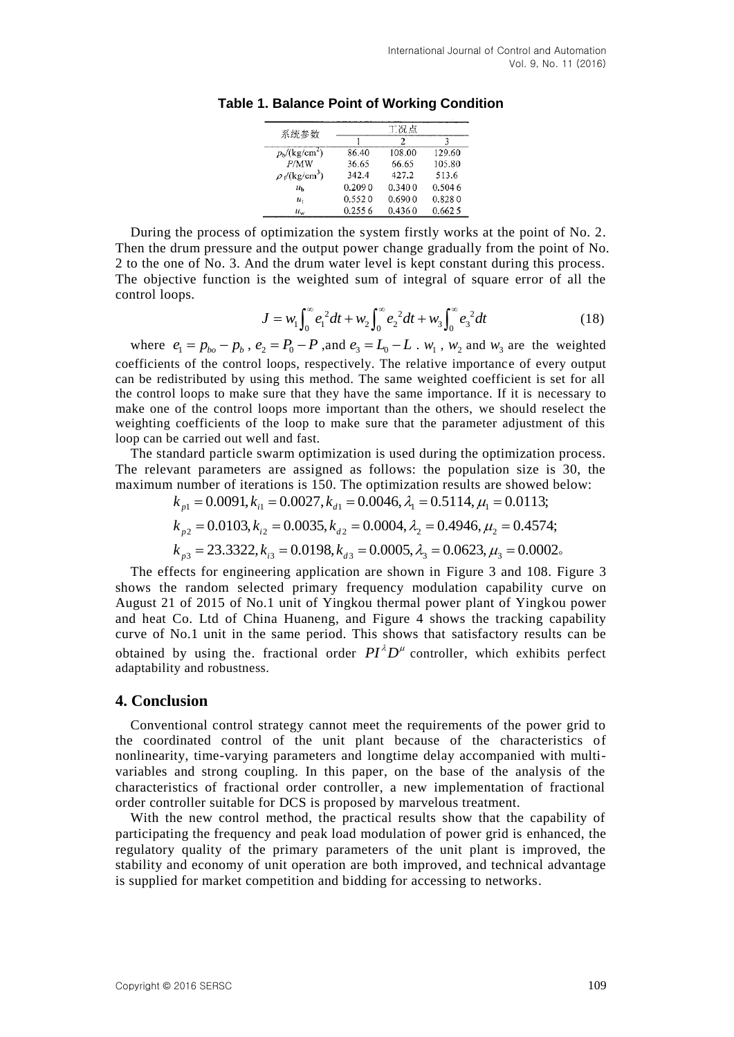| 系统参数                         | 工况点    |        |        |
|------------------------------|--------|--------|--------|
|                              |        | 2      | 3      |
| $p_{\rm b}/(\text{kg/cm}^2)$ | 86.40  | 108.00 | 129.60 |
| P/MW                         | 36.65  | 66.65  | 105.80 |
| $\rho_f/(kg/cm^3)$           | 342.4  | 427.2  | 513.6  |
| $u_{\rm b}$                  | 0.2090 | 0.3400 | 0.5046 |
| $u_{1}$                      | 0.5520 | 0.6900 | 0.8280 |
| $u_{\rm w}$                  | 0.2556 | 0.4360 | 0.6625 |

<span id="page-6-0"></span>**Table 1. Balance Point of Working Condition**

During the process of optimization the system firstly works at the point of No. 2. Then the drum pressure and the output power change gradually from the point of No. 2 to the one of No. 3. And the drum water level is kept constant during this process. The objective function is the weighted sum of integral of square error of all the control loops.

$$
J = w_1 \int_0^\infty e_1^2 dt + w_2 \int_0^\infty e_2^2 dt + w_3 \int_0^\infty e_3^2 dt
$$
 (18)

where  $e_1 = p_{bo} - p_b$ ,  $e_2 = P_0 - P$ , and  $e_3 = L_0 - L$ .  $w_1$ ,  $w_2$  and  $w_3$  are the weighted coefficients of the control loops, respectively. The relative importance of every output can be redistributed by using this method. The same weighted coefficient is set for all the control loops to make sure that they have the same importance. If it is necessary to make one of the control loops more important than the others, we should reselect the weighting coefficients of the loop to make sure that the parameter adjustment of this loop can be carried out well and fast.

The standard particle swarm optimization is used during the optimization process. The relevant parameters are assigned as follows: the population size is 30, the maximum number of iterations is 150. The optimization results are showed below:

$$
k_{p1} = 0.0091, k_{i1} = 0.0027, k_{d1} = 0.0046, \lambda_1 = 0.5114, \mu_1 = 0.0113;
$$
  
\n
$$
k_{p2} = 0.0103, k_{i2} = 0.0035, k_{d2} = 0.0004, \lambda_2 = 0.4946, \mu_2 = 0.4574;
$$
  
\n
$$
k_{p3} = 23.3322, k_{i3} = 0.0198, k_{d3} = 0.0005, \lambda_3 = 0.0623, \mu_3 = 0.0002.
$$

The effects for engineering application are shown in [Figure 3](#page-7-2) and [108.](#page-5-0) [Figure 3](#page-7-2) shows the random selected primary frequency modulation capability curve on August 21 of 2015 of No.1 unit of Yingkou thermal power plant of Yingkou power and heat Co. Ltd of China Huaneng, and [Figure 4](#page-7-3) shows the tracking capability curve of No.1 unit in the same period. This shows that satisfactory results can be obtained by using the fractional order  $PI^{\lambda}D^{\mu}$  controller, which exhibits perfect adaptability and robustness.

#### **4. Conclusion**

Conventional control strategy cannot meet the requirements of the power grid to the coordinated control of the unit plant because of the characteristics of nonlinearity, time-varying parameters and longtime delay accompanied with multivariables and strong coupling. In this paper, on the base of the analysis of the characteristics of fractional order controller, a new implementation of fractional order controller suitable for DCS is proposed by marvelous treatment.

With the new control method, the practical results show that the capability of participating the frequency and peak load modulation of power grid is enhanced, the regulatory quality of the primary parameters of the unit plant is improved, the stability and economy of unit operation are both improved, and technical advantage is supplied for market competition and bidding for accessing to networks.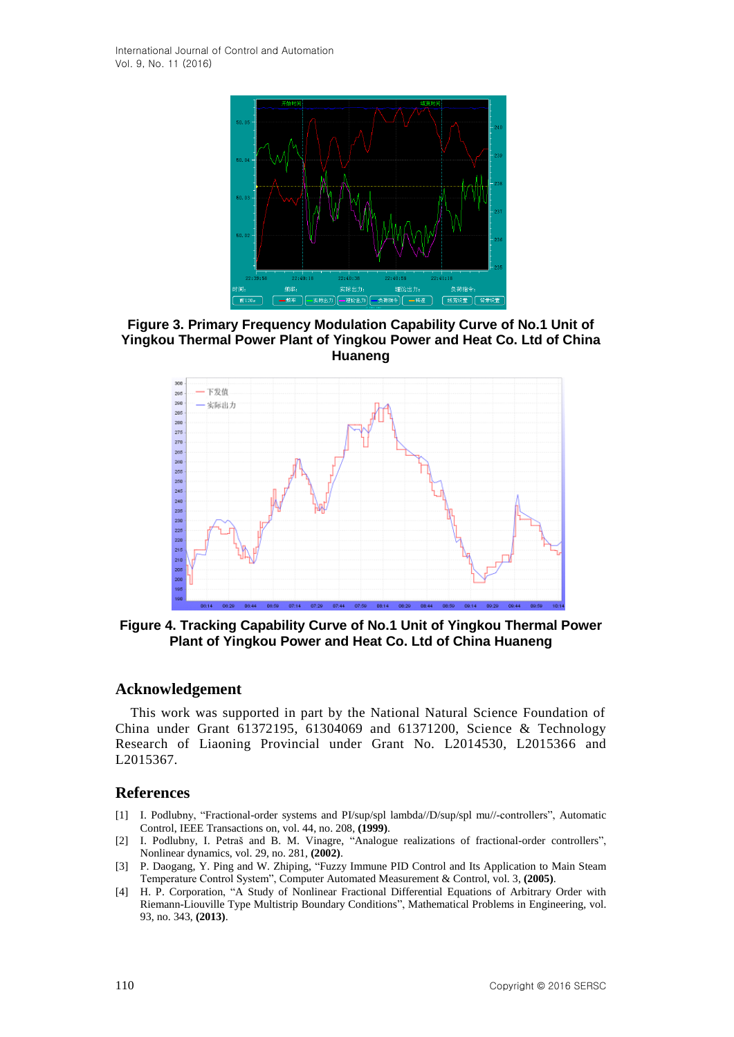

<span id="page-7-2"></span>**Figure 3. Primary Frequency Modulation Capability Curve of No.1 Unit of Yingkou Thermal Power Plant of Yingkou Power and Heat Co. Ltd of China Huaneng**



<span id="page-7-3"></span>**Figure 4. Tracking Capability Curve of No.1 Unit of Yingkou Thermal Power Plant of Yingkou Power and Heat Co. Ltd of China Huaneng**

#### **Acknowledgement**

This work was supported in part by the National Natural Science Foundation of China under Grant 61372195, 61304069 and 61371200, Science & Technology Research of Liaoning Provincial under Grant No. L2014530, L2015366 and L2015367.

### **References**

- <span id="page-7-0"></span>[1] I. Podlubny, "Fractional-order systems and PI/sup/spl lambda//D/sup/spl mu//-controllers", Automatic Control, IEEE Transactions on, vol. 44, no. 208, **(1999)**.
- [2] I. Podlubny, I. Petraš and B. M. Vinagre, "Analogue realizations of fractional-order controllers", Nonlinear dynamics, vol. 29, no. 281, **(2002)**.
- <span id="page-7-1"></span>[3] P. Daogang, Y. Ping and W. Zhiping, "Fuzzy Immune PID Control and Its Application to Main Steam Temperature Control System", Computer Automated Measurement & Control, vol. 3, **(2005)**.
- [4] H. P. Corporation, "A Study of Nonlinear Fractional Differential Equations of Arbitrary Order with Riemann-Liouville Type Multistrip Boundary Conditions", Mathematical Problems in Engineering, vol. 93, no. 343, **(2013)**.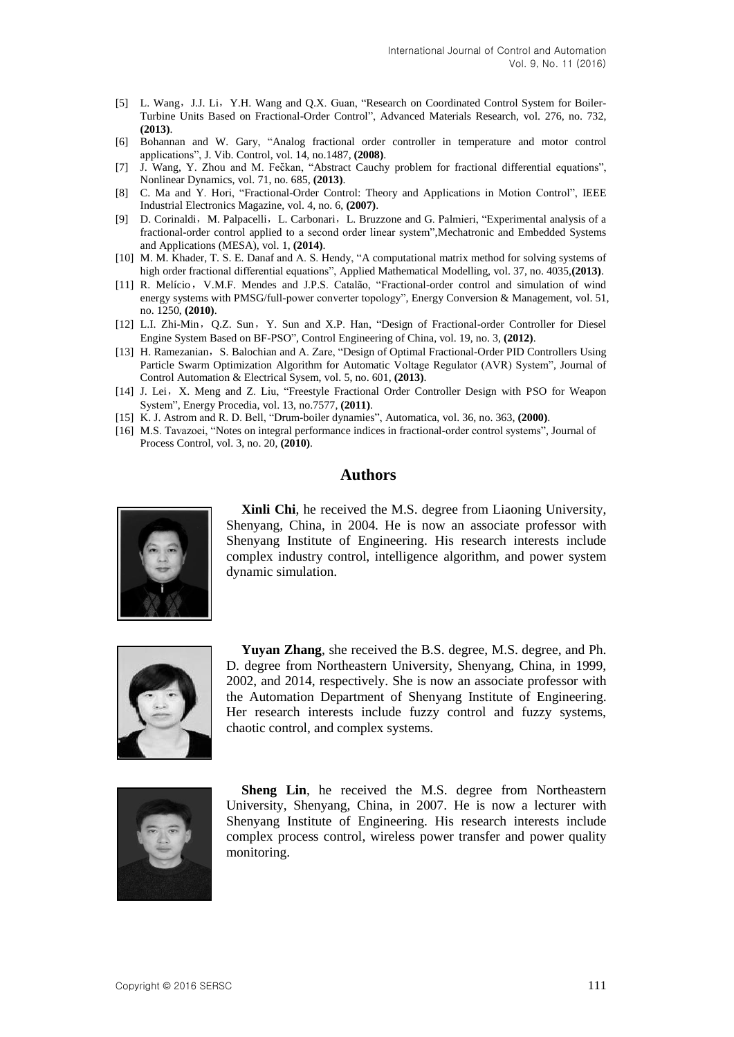- [5] L. Wang, J.J. Li, Y.H. Wang and Q.X. Guan, "Research on Coordinated Control System for Boiler-Turbine Units Based on Fractional-Order Control", Advanced Materials Research, vol. 276, no. 732, **(2013)**.
- [6] Bohannan and W. Gary, "Analog fractional order controller in temperature and motor control applications", J. Vib. Control, vol. 14, no.1487, **(2008)**.
- <span id="page-8-0"></span>[7] J. Wang, Y. Zhou and M. Fečkan, "Abstract Cauchy problem for fractional differential equations", Nonlinear Dynamics, vol. 71, no. 685, **(2013)**.
- [8] C. Ma and Y. Hori, "Fractional-Order Control: Theory and Applications in Motion Control", IEEE Industrial Electronics Magazine, vol. 4, no. 6, **(2007)**.
- <span id="page-8-1"></span>[9] D. Corinaldi, M. Palpacelli, L. Carbonari, L. Bruzzone and G. Palmieri, "Experimental analysis of a fractional-order control applied to a second order linear system",Mechatronic and Embedded Systems and Applications (MESA), vol. 1, **(2014)**.
- <span id="page-8-2"></span>[10] M. M. Khader, T. S. E. Danaf and A. S. Hendy, "A computational matrix method for solving systems of high order fractional differential equations", Applied Mathematical Modelling, vol. 37, no. 4035,**(2013)**.
- [11] R. Melício, V.M.F. Mendes and J.P.S. Catalão, "Fractional-order control and simulation of wind energy systems with PMSG/full-power converter topology", Energy Conversion & Management, vol. 51, no. 1250, **(2010)**.
- <span id="page-8-3"></span>[12] L.I. Zhi-Min,Q.Z. Sun,Y. Sun and X.P. Han, "Design of Fractional-order Controller for Diesel Engine System Based on BF-PSO", Control Engineering of China, vol. 19, no. 3, **(2012)**.
- [13] H. Ramezanian, S. Balochian and A. Zare, "Design of Optimal Fractional-Order PID Controllers Using Particle Swarm Optimization Algorithm for Automatic Voltage Regulator (AVR) System", Journal of Control Automation & Electrical Sysem, vol. 5, no. 601, **(2013)**.
- <span id="page-8-4"></span>[14] J. Lei, X. Meng and Z. Liu, "Freestyle Fractional Order Controller Design with PSO for Weapon System", Energy Procedia, vol. 13, no.7577, **(2011)**.
- <span id="page-8-5"></span>[15] K. J. Astrom and R. D. Bell, "Drum-boiler dynamies", Automatica, vol. 36, no. 363, **(2000)**.
- [16] M.S. Tavazoei, "Notes on integral performance indices in fractional-order control systems", Journal of Process Control, vol. 3, no. 20, **(2010)**.

### **Authors**



**Xinli Chi**, he received the M.S. degree from Liaoning University, Shenyang, China, in 2004. He is now an associate professor with Shenyang Institute of Engineering. His research interests include complex industry control, intelligence algorithm, and power system dynamic simulation.



**Yuyan Zhang**, she received the B.S. degree, M.S. degree, and Ph. D. degree from Northeastern University, Shenyang, China, in 1999, 2002, and 2014, respectively. She is now an associate professor with the Automation Department of Shenyang Institute of Engineering. Her research interests include fuzzy control and fuzzy systems, chaotic control, and complex systems.



**Sheng Lin**, he received the M.S. degree from Northeastern University, Shenyang, China, in 2007. He is now a lecturer with Shenyang Institute of Engineering. His research interests include complex process control, wireless power transfer and power quality monitoring.